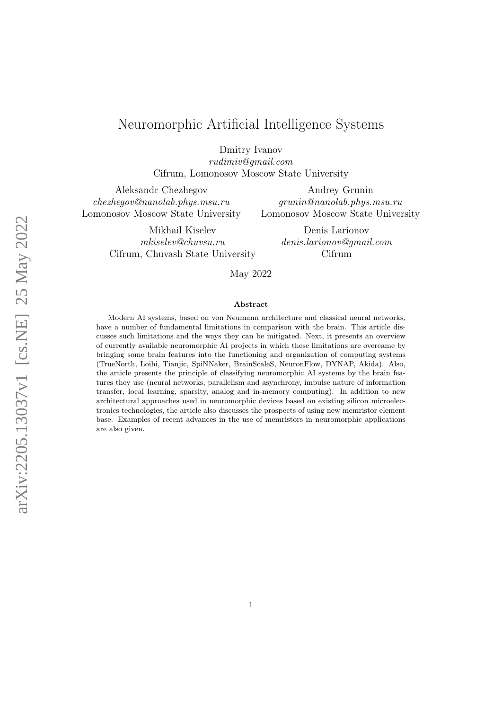# Neuromorphic Artificial Intelligence Systems

Dmitry Ivanov

rudimiv@gmail.com Cifrum, Lomonosov Moscow State University

Aleksandr Chezhegov chezhegov@nanolab.phys.msu.ru Lomonosov Moscow State University

> Mikhail Kiselev mkiselev@chuvsu.ru Cifrum, Chuvash State University

Andrey Grunin grunin@nanolab.phys.msu.ru Lomonosov Moscow State University

> Denis Larionov denis.larionov@gmail.com Cifrum

May 2022

#### Abstract

Modern AI systems, based on von Neumann architecture and classical neural networks, have a number of fundamental limitations in comparison with the brain. This article discusses such limitations and the ways they can be mitigated. Next, it presents an overview of currently available neuromorphic AI projects in which these limitations are overcame by bringing some brain features into the functioning and organization of computing systems (TrueNorth, Loihi, Tianjic, SpiNNaker, BrainScaleS, NeuronFlow, DYNAP, Akida). Also, the article presents the principle of classifying neuromorphic AI systems by the brain features they use (neural networks, parallelism and asynchrony, impulse nature of information transfer, local learning, sparsity, analog and in-memory computing). In addition to new architectural approaches used in neuromorphic devices based on existing silicon microelectronics technologies, the article also discusses the prospects of using new memristor element base. Examples of recent advances in the use of memristors in neuromorphic applications are also given.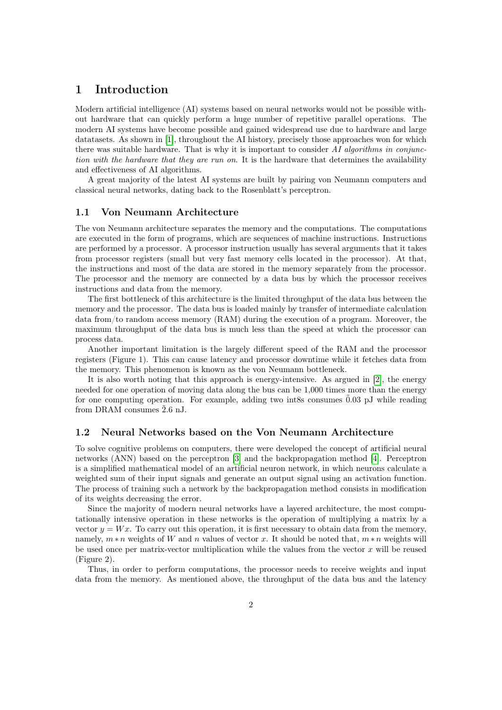## 1 Introduction

Modern artificial intelligence (AI) systems based on neural networks would not be possible without hardware that can quickly perform a huge number of repetitive parallel operations. The modern AI systems have become possible and gained widespread use due to hardware and large datatasets. As shown in [\[1\]](#page-20-0), throughout the AI history, precisely those approaches won for which there was suitable hardware. That is why it is important to consider  $AI$  algorithms in conjunction with the hardware that they are run on. It is the hardware that determines the availability and effectiveness of AI algorithms.

A great majority of the latest AI systems are built by pairing von Neumann computers and classical neural networks, dating back to the Rosenblatt's perceptron.

#### 1.1 Von Neumann Architecture

The von Neumann architecture separates the memory and the computations. The computations are executed in the form of programs, which are sequences of machine instructions. Instructions are performed by a processor. A processor instruction usually has several arguments that it takes from processor registers (small but very fast memory cells located in the processor). At that, the instructions and most of the data are stored in the memory separately from the processor. The processor and the memory are connected by a data bus by which the processor receives instructions and data from the memory.

The first bottleneck of this architecture is the limited throughput of the data bus between the memory and the processor. The data bus is loaded mainly by transfer of intermediate calculation data from/to random access memory (RAM) during the execution of a program. Moreover, the maximum throughput of the data bus is much less than the speed at which the processor can process data.

Another important limitation is the largely different speed of the RAM and the processor registers (Figure 1). This can cause latency and processor downtime while it fetches data from the memory. This phenomenon is known as the von Neumann bottleneck.

It is also worth noting that this approach is energy-intensive. As argued in [\[2\]](#page-20-1), the energy needed for one operation of moving data along the bus can be 1,000 times more than the energy for one computing operation. For example, adding two int8s consumes  $0.03$  pJ while reading from DRAM consumes  $\tilde{2}.6$  nJ.

#### 1.2 Neural Networks based on the Von Neumann Architecture

To solve cognitive problems on computers, there were developed the concept of artificial neural networks (ANN) based on the perceptron [\[3\]](#page-20-2) and the backpropagation method [\[4\]](#page-20-3). Perceptron is a simplified mathematical model of an artificial neuron network, in which neurons calculate a weighted sum of their input signals and generate an output signal using an activation function. The process of training such a network by the backpropagation method consists in modification of its weights decreasing the error.

Since the majority of modern neural networks have a layered architecture, the most computationally intensive operation in these networks is the operation of multiplying a matrix by a vector  $y = Wx$ . To carry out this operation, it is first necessary to obtain data from the memory, namely,  $m * n$  weights of W and n values of vector x. It should be noted that,  $m * n$  weights will be used once per matrix-vector multiplication while the values from the vector  $x$  will be reused (Figure 2).

Thus, in order to perform computations, the processor needs to receive weights and input data from the memory. As mentioned above, the throughput of the data bus and the latency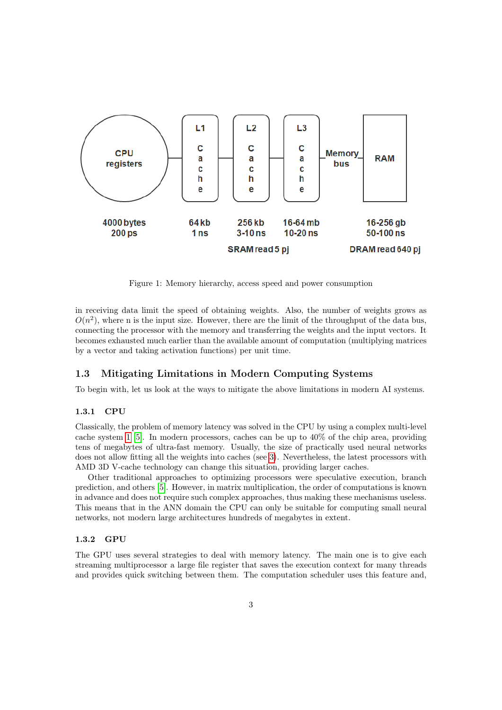

<span id="page-2-0"></span>Figure 1: Memory hierarchy, access speed and power consumption

in receiving data limit the speed of obtaining weights. Also, the number of weights grows as  $O(n^2)$ , where n is the input size. However, there are the limit of the throughput of the data bus, connecting the processor with the memory and transferring the weights and the input vectors. It becomes exhausted much earlier than the available amount of computation (multiplying matrices by a vector and taking activation functions) per unit time.

## 1.3 Mitigating Limitations in Modern Computing Systems

To begin with, let us look at the ways to mitigate the above limitations in modern AI systems.

#### 1.3.1 CPU

Classically, the problem of memory latency was solved in the CPU by using a complex multi-level cache system [1](#page-2-0) [\[5\]](#page-20-4). In modern processors, caches can be up to 40% of the chip area, providing tens of megabytes of ultra-fast memory. Usually, the size of practically used neural networks does not allow fitting all the weights into caches (see [3\)](#page-3-0). Nevertheless, the latest processors with AMD 3D V-cache technology can change this situation, providing larger caches.

Other traditional approaches to optimizing processors were speculative execution, branch prediction, and others [\[5\]](#page-20-4). However, in matrix multiplication, the order of computations is known in advance and does not require such complex approaches, thus making these mechanisms useless. This means that in the ANN domain the CPU can only be suitable for computing small neural networks, not modern large architectures hundreds of megabytes in extent.

#### 1.3.2 GPU

The GPU uses several strategies to deal with memory latency. The main one is to give each streaming multiprocessor a large file register that saves the execution context for many threads and provides quick switching between them. The computation scheduler uses this feature and,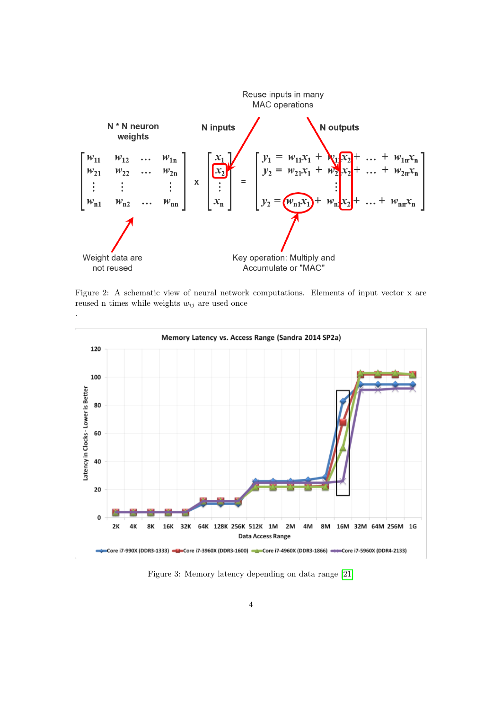

Figure 2: A schematic view of neural network computations. Elements of input vector x are reused n times while weights  $w_{ij}$  are used once



<span id="page-3-0"></span>Figure 3: Memory latency depending on data range [\[21\]](#page-21-0)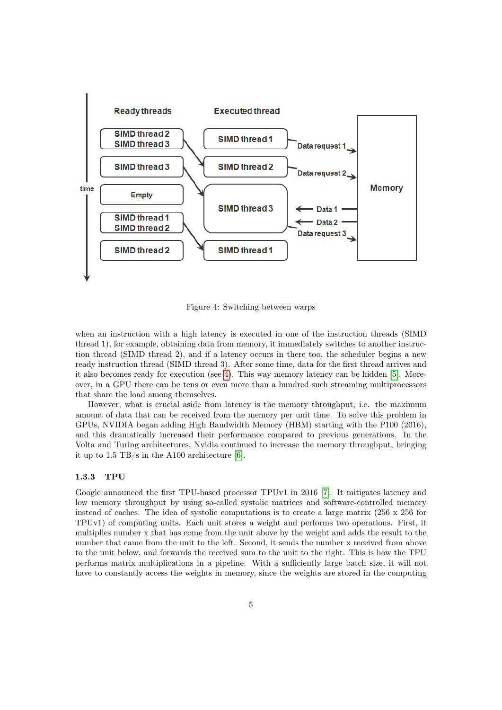

<span id="page-4-0"></span>Figure 4: Switching between warps

when an instruction with a high latency is executed in one of the instruction threads (SIMD thread 1), for example, obtaining data from memory, it immediately switches to another instruction thread (SIMD thread 2), and if a latency occurs in there too, the scheduler begins a new ready instruction thread (SIMD thread 3). After some time, data for the first thread arrives and it also becomes ready for execution (see [4\)](#page-4-0). This way memory latency can be hidden [\[5\]](#page-20-4). Moreover, in a GPU there can be tens or even more than a hundred such streaming multiprocessors that share the load among themselves.

However, what is crucial aside from latency is the memory throughput, i.e. the maximum amount of data that can be received from the memory per unit time. To solve this problem in GPUs, NVIDIA began adding High Bandwidth Memory (HBM) starting with the P100 (2016), and this dramatically increased their performance compared to previous generations. In the Volta and Turing architectures, Nvidia continued to increase the memory throughput, bringing it up to 1.5 TB/s in the A100 architecture [\[6\]](#page-20-5).

### 1.3.3 TPU

Google announced the first TPU-based processor TPUv1 in 2016 [\[7\]](#page-20-6). It mitigates latency and low memory throughput by using so-called systolic matrices and software-controlled memory instead of caches. The idea of systolic computations is to create a large matrix (256 x 256 for TPUv1) of computing units. Each unit stores a weight and performs two operations. First, it multiplies number x that has come from the unit above by the weight and adds the result to the number that came from the unit to the left. Second, it sends the number x received from above to the unit below, and forwards the received sum to the unit to the right. This is how the TPU performs matrix multiplications in a pipeline. With a sufficiently large batch size, it will not have to constantly access the weights in memory, since the weights are stored in the computing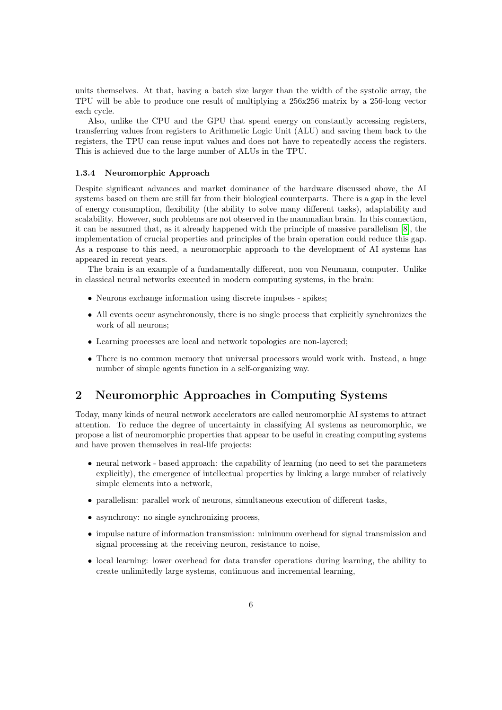units themselves. At that, having a batch size larger than the width of the systolic array, the TPU will be able to produce one result of multiplying a 256x256 matrix by a 256-long vector each cycle.

Also, unlike the CPU and the GPU that spend energy on constantly accessing registers, transferring values from registers to Arithmetic Logic Unit (ALU) and saving them back to the registers, the TPU can reuse input values and does not have to repeatedly access the registers. This is achieved due to the large number of ALUs in the TPU.

#### 1.3.4 Neuromorphic Approach

Despite significant advances and market dominance of the hardware discussed above, the AI systems based on them are still far from their biological counterparts. There is a gap in the level of energy consumption, flexibility (the ability to solve many different tasks), adaptability and scalability. However, such problems are not observed in the mammalian brain. In this connection, it can be assumed that, as it already happened with the principle of massive parallelism [\[8\]](#page-20-7), the implementation of crucial properties and principles of the brain operation could reduce this gap. As a response to this need, a neuromorphic approach to the development of AI systems has appeared in recent years.

The brain is an example of a fundamentally different, non von Neumann, computer. Unlike in classical neural networks executed in modern computing systems, in the brain:

- Neurons exchange information using discrete impulses spikes;
- All events occur asynchronously, there is no single process that explicitly synchronizes the work of all neurons;
- Learning processes are local and network topologies are non-layered;
- There is no common memory that universal processors would work with. Instead, a huge number of simple agents function in a self-organizing way.

## 2 Neuromorphic Approaches in Computing Systems

Today, many kinds of neural network accelerators are called neuromorphic AI systems to attract attention. To reduce the degree of uncertainty in classifying AI systems as neuromorphic, we propose a list of neuromorphic properties that appear to be useful in creating computing systems and have proven themselves in real-life projects:

- neural network based approach: the capability of learning (no need to set the parameters explicitly), the emergence of intellectual properties by linking a large number of relatively simple elements into a network,
- parallelism: parallel work of neurons, simultaneous execution of different tasks,
- asynchrony: no single synchronizing process,
- impulse nature of information transmission: minimum overhead for signal transmission and signal processing at the receiving neuron, resistance to noise,
- local learning: lower overhead for data transfer operations during learning, the ability to create unlimitedly large systems, continuous and incremental learning,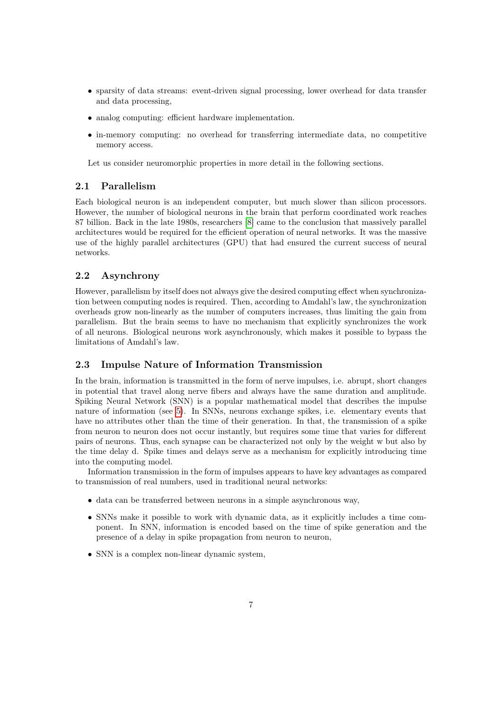- sparsity of data streams: event-driven signal processing, lower overhead for data transfer and data processing,
- analog computing: efficient hardware implementation.
- in-memory computing: no overhead for transferring intermediate data, no competitive memory access.

Let us consider neuromorphic properties in more detail in the following sections.

#### 2.1 Parallelism

Each biological neuron is an independent computer, but much slower than silicon processors. However, the number of biological neurons in the brain that perform coordinated work reaches 87 billion. Back in the late 1980s, researchers [\[8\]](#page-20-7) came to the conclusion that massively parallel architectures would be required for the efficient operation of neural networks. It was the massive use of the highly parallel architectures (GPU) that had ensured the current success of neural networks.

## 2.2 Asynchrony

However, parallelism by itself does not always give the desired computing effect when synchronization between computing nodes is required. Then, according to Amdahl's law, the synchronization overheads grow non-linearly as the number of computers increases, thus limiting the gain from parallelism. But the brain seems to have no mechanism that explicitly synchronizes the work of all neurons. Biological neurons work asynchronously, which makes it possible to bypass the limitations of Amdahl's law.

## 2.3 Impulse Nature of Information Transmission

In the brain, information is transmitted in the form of nerve impulses, i.e. abrupt, short changes in potential that travel along nerve fibers and always have the same duration and amplitude. Spiking Neural Network (SNN) is a popular mathematical model that describes the impulse nature of information (see [5\)](#page-7-0). In SNNs, neurons exchange spikes, i.e. elementary events that have no attributes other than the time of their generation. In that, the transmission of a spike from neuron to neuron does not occur instantly, but requires some time that varies for different pairs of neurons. Thus, each synapse can be characterized not only by the weight w but also by the time delay d. Spike times and delays serve as a mechanism for explicitly introducing time into the computing model.

Information transmission in the form of impulses appears to have key advantages as compared to transmission of real numbers, used in traditional neural networks:

- data can be transferred between neurons in a simple asynchronous way,
- SNNs make it possible to work with dynamic data, as it explicitly includes a time component. In SNN, information is encoded based on the time of spike generation and the presence of a delay in spike propagation from neuron to neuron,
- SNN is a complex non-linear dynamic system,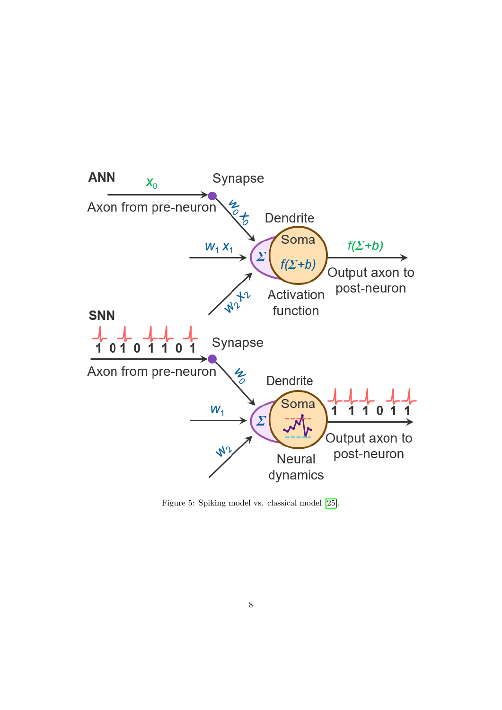

<span id="page-7-0"></span>Figure 5: Spiking model vs. classical model [\[25\]](#page-21-1).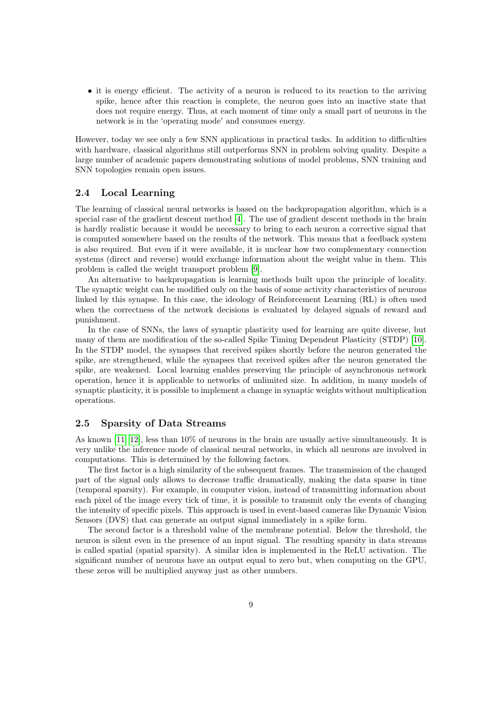• it is energy efficient. The activity of a neuron is reduced to its reaction to the arriving spike, hence after this reaction is complete, the neuron goes into an inactive state that does not require energy. Thus, at each moment of time only a small part of neurons in the network is in the 'operating mode' and consumes energy.

However, today we see only a few SNN applications in practical tasks. In addition to difficulties with hardware, classical algorithms still outperforms SNN in problem solving quality. Despite a large number of academic papers demonstrating solutions of model problems, SNN training and SNN topologies remain open issues.

#### 2.4 Local Learning

The learning of classical neural networks is based on the backpropagation algorithm, which is a special case of the gradient descent method [\[4\]](#page-20-3). The use of gradient descent methods in the brain is hardly realistic because it would be necessary to bring to each neuron a corrective signal that is computed somewhere based on the results of the network. This means that a feedback system is also required. But even if it were available, it is unclear how two complementary connection systems (direct and reverse) would exchange information about the weight value in them. This problem is called the weight transport problem [\[9\]](#page-20-8).

An alternative to backpropagation is learning methods built upon the principle of locality. The synaptic weight can be modified only on the basis of some activity characteristics of neurons linked by this synapse. In this case, the ideology of Reinforcement Learning (RL) is often used when the correctness of the network decisions is evaluated by delayed signals of reward and punishment.

In the case of SNNs, the laws of synaptic plasticity used for learning are quite diverse, but many of them are modification of the so-called Spike Timing Dependent Plasticity (STDP) [\[10\]](#page-20-9). In the STDP model, the synapses that received spikes shortly before the neuron generated the spike, are strengthened, while the synapses that received spikes after the neuron generated the spike, are weakened. Local learning enables preserving the principle of asynchronous network operation, hence it is applicable to networks of unlimited size. In addition, in many models of synaptic plasticity, it is possible to implement a change in synaptic weights without multiplication operations.

## 2.5 Sparsity of Data Streams

As known [\[11,](#page-20-10) [12\]](#page-20-11), less than 10% of neurons in the brain are usually active simultaneously. It is very unlike the inference mode of classical neural networks, in which all neurons are involved in computations. This is determined by the following factors.

The first factor is a high similarity of the subsequent frames. The transmission of the changed part of the signal only allows to decrease traffic dramatically, making the data sparse in time (temporal sparsity). For example, in computer vision, instead of transmitting information about each pixel of the image every tick of time, it is possible to transmit only the events of changing the intensity of specific pixels. This approach is used in event-based cameras like Dynamic Vision Sensors (DVS) that can generate an output signal immediately in a spike form.

The second factor is a threshold value of the membrane potential. Below the threshold, the neuron is silent even in the presence of an input signal. The resulting sparsity in data streams is called spatial (spatial sparsity). A similar idea is implemented in the ReLU activation. The significant number of neurons have an output equal to zero but, when computing on the GPU, these zeros will be multiplied anyway just as other numbers.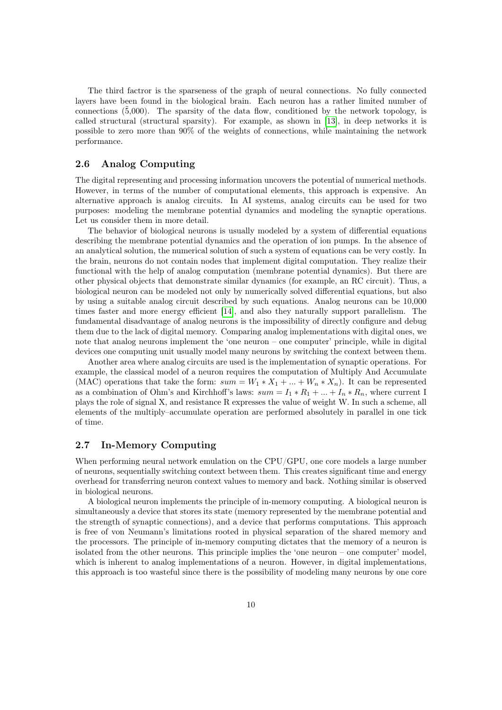The third factror is the sparseness of the graph of neural connections. No fully connected layers have been found in the biological brain. Each neuron has a rather limited number of connections  $(\bar{5},000)$ . The sparsity of the data flow, conditioned by the network topology, is called structural (structural sparsity). For example, as shown in [\[13\]](#page-20-12), in deep networks it is possible to zero more than 90% of the weights of connections, while maintaining the network performance.

## 2.6 Analog Computing

The digital representing and processing information uncovers the potential of numerical methods. However, in terms of the number of computational elements, this approach is expensive. An alternative approach is analog circuits. In AI systems, analog circuits can be used for two purposes: modeling the membrane potential dynamics and modeling the synaptic operations. Let us consider them in more detail.

The behavior of biological neurons is usually modeled by a system of differential equations describing the membrane potential dynamics and the operation of ion pumps. In the absence of an analytical solution, the numerical solution of such a system of equations can be very costly. In the brain, neurons do not contain nodes that implement digital computation. They realize their functional with the help of analog computation (membrane potential dynamics). But there are other physical objects that demonstrate similar dynamics (for example, an RC circuit). Thus, a biological neuron can be modeled not only by numerically solved differential equations, but also by using a suitable analog circuit described by such equations. Analog neurons can be 10,000 times faster and more energy efficient [\[14\]](#page-20-13), and also they naturally support parallelism. The fundamental disadvantage of analog neurons is the impossibility of directly configure and debug them due to the lack of digital memory. Comparing analog implementations with digital ones, we note that analog neurons implement the 'one neuron – one computer' principle, while in digital devices one computing unit usually model many neurons by switching the context between them.

Another area where analog circuits are used is the implementation of synaptic operations. For example, the classical model of a neuron requires the computation of Multiply And Accumulate (MAC) operations that take the form:  $sum = W_1 * X_1 + ... + W_n * X_n$ ). It can be represented as a combination of Ohm's and Kirchhoff's laws:  $sum = I_1 * R_1 + ... + I_n * R_n$ , where current I plays the role of signal X, and resistance R expresses the value of weight W. In such a scheme, all elements of the multiply–accumulate operation are performed absolutely in parallel in one tick of time.

## 2.7 In-Memory Computing

When performing neural network emulation on the CPU/GPU, one core models a large number of neurons, sequentially switching context between them. This creates significant time and energy overhead for transferring neuron context values to memory and back. Nothing similar is observed in biological neurons.

A biological neuron implements the principle of in-memory computing. A biological neuron is simultaneously a device that stores its state (memory represented by the membrane potential and the strength of synaptic connections), and a device that performs computations. This approach is free of von Neumann's limitations rooted in physical separation of the shared memory and the processors. The principle of in-memory computing dictates that the memory of a neuron is isolated from the other neurons. This principle implies the 'one neuron – one computer' model, which is inherent to analog implementations of a neuron. However, in digital implementations, this approach is too wasteful since there is the possibility of modeling many neurons by one core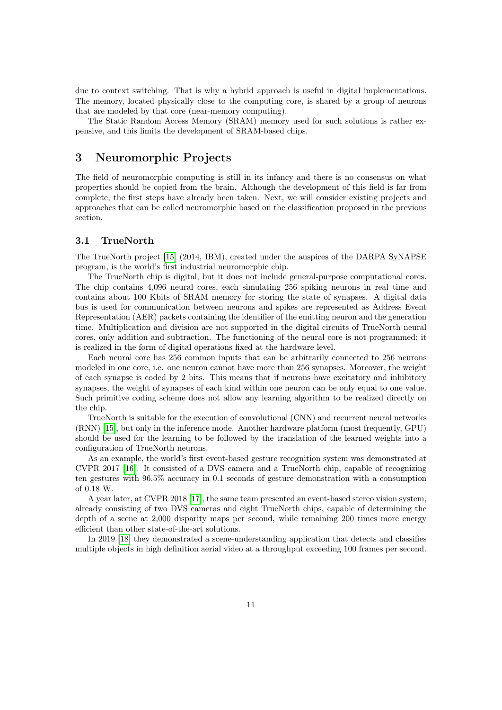due to context switching. That is why a hybrid approach is useful in digital implementations. The memory, located physically close to the computing core, is shared by a group of neurons that are modeled by that core (near-memory computing).

The Static Random Access Memory (SRAM) memory used for such solutions is rather expensive, and this limits the development of SRAM-based chips.

## 3 Neuromorphic Projects

The field of neuromorphic computing is still in its infancy and there is no consensus on what properties should be copied from the brain. Although the development of this field is far from complete, the first steps have already been taken. Next, we will consider existing projects and approaches that can be called neuromorphic based on the classification proposed in the previous section.

#### 3.1 TrueNorth

The TrueNorth project [\[15\]](#page-20-14) (2014, IBM), created under the auspices of the DARPA SyNAPSE program, is the world's first industrial neuromorphic chip.

The TrueNorth chip is digital, but it does not include general-purpose computational cores. The chip contains 4,096 neural cores, each simulating 256 spiking neurons in real time and contains about 100 Kbits of SRAM memory for storing the state of synapses. A digital data bus is used for communication between neurons and spikes are represented as Address Event Representation (AER) packets containing the identifier of the emitting neuron and the generation time. Multiplication and division are not supported in the digital circuits of TrueNorth neural cores, only addition and subtraction. The functioning of the neural core is not programmed; it is realized in the form of digital operations fixed at the hardware level.

Each neural core has 256 common inputs that can be arbitrarily connected to 256 neurons modeled in one core, i.e. one neuron cannot have more than 256 synapses. Moreover, the weight of each synapse is coded by 2 bits. This means that if neurons have excitatory and inhibitory synapses, the weight of synapses of each kind within one neuron can be only equal to one value. Such primitive coding scheme does not allow any learning algorithm to be realized directly on the chip.

TrueNorth is suitable for the execution of convolutional (CNN) and recurrent neural networks (RNN) [\[15\]](#page-20-14), but only in the inference mode. Another hardware platform (most frequently, GPU) should be used for the learning to be followed by the translation of the learned weights into a configuration of TrueNorth neurons.

As an example, the world's first event-based gesture recognition system was demonstrated at CVPR 2017 [\[16\]](#page-20-15). It consisted of a DVS camera and a TrueNorth chip, capable of recognizing ten gestures with 96.5% accuracy in 0.1 seconds of gesture demonstration with a consumption of 0.18 W.

A year later, at CVPR 2018 [\[17\]](#page-20-16), the same team presented an event-based stereo vision system, already consisting of two DVS cameras and eight TrueNorth chips, capable of determining the depth of a scene at 2,000 disparity maps per second, while remaining 200 times more energy efficient than other state-of-the-art solutions.

In 2019 [\[18\]](#page-20-17) they demonstrated a scene-understanding application that detects and classifies multiple objects in high definition aerial video at a throughput exceeding 100 frames per second.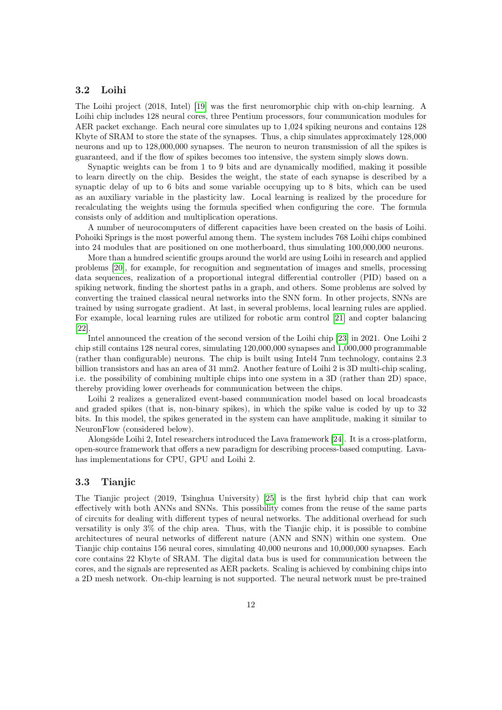## 3.2 Loihi

The Loihi project (2018, Intel) [\[19\]](#page-20-18) was the first neuromorphic chip with on-chip learning. A Loihi chip includes 128 neural cores, three Pentium processors, four communication modules for AER packet exchange. Each neural core simulates up to 1,024 spiking neurons and contains 128 Kbyte of SRAM to store the state of the synapses. Thus, a chip simulates approximately 128,000 neurons and up to 128,000,000 synapses. The neuron to neuron transmission of all the spikes is guaranteed, and if the flow of spikes becomes too intensive, the system simply slows down.

Synaptic weights can be from 1 to 9 bits and are dynamically modified, making it possible to learn directly on the chip. Besides the weight, the state of each synapse is described by a synaptic delay of up to 6 bits and some variable occupying up to 8 bits, which can be used as an auxiliary variable in the plasticity law. Local learning is realized by the procedure for recalculating the weights using the formula specified when configuring the core. The formula consists only of addition and multiplication operations.

A number of neurocomputers of different capacities have been created on the basis of Loihi. Pohoiki Springs is the most powerful among them. The system includes 768 Loihi chips combined into 24 modules that are positioned on one motherboard, thus simulating 100,000,000 neurons.

More than a hundred scientific groups around the world are using Loihi in research and applied problems [\[20\]](#page-21-2), for example, for recognition and segmentation of images and smells, processing data sequences, realization of a proportional integral differential controller (PID) based on a spiking network, finding the shortest paths in a graph, and others. Some problems are solved by converting the trained classical neural networks into the SNN form. In other projects, SNNs are trained by using surrogate gradient. At last, in several problems, local learning rules are applied. For example, local learning rules are utilized for robotic arm control [\[21\]](#page-21-0) and copter balancing [\[22\]](#page-21-3).

Intel announced the creation of the second version of the Loihi chip [\[23\]](#page-21-4) in 2021. One Loihi 2 chip still contains 128 neural cores, simulating 120,000,000 synapses and 1,000,000 programmable (rather than configurable) neurons. The chip is built using Intel4 7nm technology, contains 2.3 billion transistors and has an area of 31 mm2. Another feature of Loihi 2 is 3D multi-chip scaling, i.e. the possibility of combining multiple chips into one system in a 3D (rather than 2D) space, thereby providing lower overheads for communication between the chips.

Loihi 2 realizes a generalized event-based communication model based on local broadcasts and graded spikes (that is, non-binary spikes), in which the spike value is coded by up to 32 bits. In this model, the spikes generated in the system can have amplitude, making it similar to NeuronFlow (considered below).

Alongside Loihi 2, Intel researchers introduced the Lava framework [\[24\]](#page-21-5). It is a cross-platform, open-source framework that offers a new paradigm for describing process-based computing. Lavahas implementations for CPU, GPU and Loihi 2.

#### 3.3 Tianjic

The Tianjic project (2019, Tsinghua University) [\[25\]](#page-21-1) is the first hybrid chip that can work effectively with both ANNs and SNNs. This possibility comes from the reuse of the same parts of circuits for dealing with different types of neural networks. The additional overhead for such versatility is only 3% of the chip area. Thus, with the Tianjic chip, it is possible to combine architectures of neural networks of different nature (ANN and SNN) within one system. One Tianjic chip contains 156 neural cores, simulating 40,000 neurons and 10,000,000 synapses. Each core contains 22 Kbyte of SRAM. The digital data bus is used for communication between the cores, and the signals are represented as AER packets. Scaling is achieved by combining chips into a 2D mesh network. On-chip learning is not supported. The neural network must be pre-trained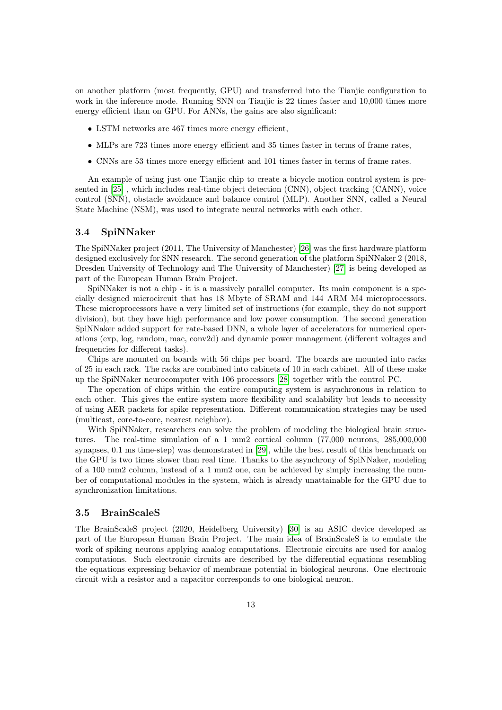on another platform (most frequently, GPU) and transferred into the Tianjic configuration to work in the inference mode. Running SNN on Tianjic is 22 times faster and 10,000 times more energy efficient than on GPU. For ANNs, the gains are also significant:

- LSTM networks are 467 times more energy efficient,
- MLPs are 723 times more energy efficient and 35 times faster in terms of frame rates,
- CNNs are 53 times more energy efficient and 101 times faster in terms of frame rates.

An example of using just one Tianjic chip to create a bicycle motion control system is presented in [\[25\]](#page-21-1) , which includes real-time object detection (CNN), object tracking (CANN), voice control (SNN), obstacle avoidance and balance control (MLP). Another SNN, called a Neural State Machine (NSM), was used to integrate neural networks with each other.

#### 3.4 SpiNNaker

The SpiNNaker project (2011, The University of Manchester) [\[26\]](#page-21-6) was the first hardware platform designed exclusively for SNN research. The second generation of the platform SpiNNaker 2 (2018, Dresden University of Technology and The University of Manchester) [\[27\]](#page-21-7) is being developed as part of the European Human Brain Project.

SpiNNaker is not a chip - it is a massively parallel computer. Its main component is a specially designed microcircuit that has 18 Mbyte of SRAM and 144 ARM M4 microprocessors. These microprocessors have a very limited set of instructions (for example, they do not support division), but they have high performance and low power consumption. The second generation SpiNNaker added support for rate-based DNN, a whole layer of accelerators for numerical operations (exp, log, random, mac, conv2d) and dynamic power management (different voltages and frequencies for different tasks).

Chips are mounted on boards with 56 chips per board. The boards are mounted into racks of 25 in each rack. The racks are combined into cabinets of 10 in each cabinet. All of these make up the SpiNNaker neurocomputer with 106 processors [\[28\]](#page-21-8) together with the control PC.

The operation of chips within the entire computing system is asynchronous in relation to each other. This gives the entire system more flexibility and scalability but leads to necessity of using AER packets for spike representation. Different communication strategies may be used (multicast, core-to-core, nearest neighbor).

With SpiNNaker, researchers can solve the problem of modeling the biological brain structures. The real-time simulation of a 1 mm2 cortical column (77,000 neurons, 285,000,000 synapses, 0.1 ms time-step) was demonstrated in [\[29\]](#page-21-9), while the best result of this benchmark on the GPU is two times slower than real time. Thanks to the asynchrony of SpiNNaker, modeling of a 100 mm2 column, instead of a 1 mm2 one, can be achieved by simply increasing the number of computational modules in the system, which is already unattainable for the GPU due to synchronization limitations.

#### 3.5 BrainScaleS

The BrainScaleS project (2020, Heidelberg University) [\[30\]](#page-21-10) is an ASIC device developed as part of the European Human Brain Project. The main idea of BrainScaleS is to emulate the work of spiking neurons applying analog computations. Electronic circuits are used for analog computations. Such electronic circuits are described by the differential equations resembling the equations expressing behavior of membrane potential in biological neurons. One electronic circuit with a resistor and a capacitor corresponds to one biological neuron.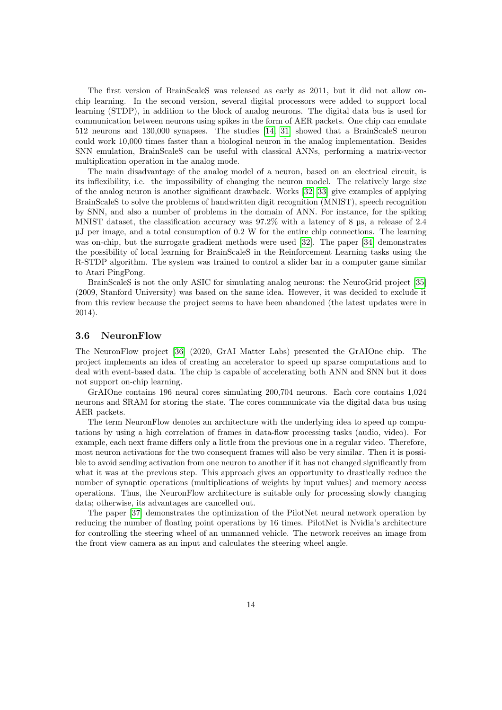The first version of BrainScaleS was released as early as 2011, but it did not allow onchip learning. In the second version, several digital processors were added to support local learning (STDP), in addition to the block of analog neurons. The digital data bus is used for communication between neurons using spikes in the form of AER packets. One chip can emulate 512 neurons and 130,000 synapses. The studies [\[14,](#page-20-13) [31\]](#page-21-11) showed that a BrainScaleS neuron could work 10,000 times faster than a biological neuron in the analog implementation. Besides SNN emulation, BrainScaleS can be useful with classical ANNs, performing a matrix-vector multiplication operation in the analog mode.

The main disadvantage of the analog model of a neuron, based on an electrical circuit, is its inflexibility, i.e. the impossibility of changing the neuron model. The relatively large size of the analog neuron is another significant drawback. Works [\[32,](#page-21-12) [33\]](#page-21-13) give examples of applying BrainScaleS to solve the problems of handwritten digit recognition (MNIST), speech recognition by SNN, and also a number of problems in the domain of ANN. For instance, for the spiking MNIST dataset, the classification accuracy was 97.2% with a latency of 8 µs, a release of 2.4 µJ per image, and a total consumption of 0.2 W for the entire chip connections. The learning was on-chip, but the surrogate gradient methods were used [\[32\]](#page-21-12). The paper [\[34\]](#page-21-14) demonstrates the possibility of local learning for BrainScaleS in the Reinforcement Learning tasks using the R-STDP algorithm. The system was trained to control a slider bar in a computer game similar to Atari PingPong.

BrainScaleS is not the only ASIC for simulating analog neurons: the NeuroGrid project [\[35\]](#page-21-15) (2009, Stanford University) was based on the same idea. However, it was decided to exclude it from this review because the project seems to have been abandoned (the latest updates were in 2014).

#### 3.6 NeuronFlow

The NeuronFlow project [\[36\]](#page-21-16) (2020, GrAI Matter Labs) presented the GrAIOne chip. The project implements an idea of creating an accelerator to speed up sparse computations and to deal with event-based data. The chip is capable of accelerating both ANN and SNN but it does not support on-chip learning.

GrAIOne contains 196 neural cores simulating 200,704 neurons. Each core contains 1,024 neurons and SRAM for storing the state. The cores communicate via the digital data bus using AER packets.

The term NeuronFlow denotes an architecture with the underlying idea to speed up computations by using a high correlation of frames in data-flow processing tasks (audio, video). For example, each next frame differs only a little from the previous one in a regular video. Therefore, most neuron activations for the two consequent frames will also be very similar. Then it is possible to avoid sending activation from one neuron to another if it has not changed significantly from what it was at the previous step. This approach gives an opportunity to drastically reduce the number of synaptic operations (multiplications of weights by input values) and memory access operations. Thus, the NeuronFlow architecture is suitable only for processing slowly changing data; otherwise, its advantages are cancelled out.

The paper [\[37\]](#page-21-17) demonstrates the optimization of the PilotNet neural network operation by reducing the number of floating point operations by 16 times. PilotNet is Nvidia's architecture for controlling the steering wheel of an unmanned vehicle. The network receives an image from the front view camera as an input and calculates the steering wheel angle.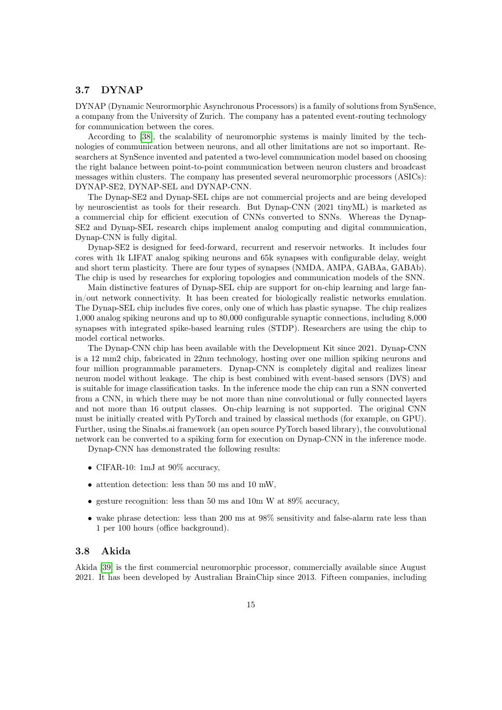## 3.7 DYNAP

DYNAP (Dynamic Neurormorphic Asynchronous Processors) is a family of solutions from SynSence, a company from the University of Zurich. The company has a patented event-routing technology for communication between the cores.

According to [\[38\]](#page-21-18), the scalability of neuromorphic systems is mainly limited by the technologies of communication between neurons, and all other limitations are not so important. Researchers at SynSence invented and patented a two-level communication model based on choosing the right balance between point-to-point communication between neuron clusters and broadcast messages within clusters. The company has presented several neuromorphic processors (ASICs): DYNAP-SE2, DYNAP-SEL and DYNAP-CNN.

The Dynap-SE2 and Dynap-SEL chips are not commercial projects and are being developed by neuroscientist as tools for their research. But Dynap-CNN (2021 tinyML) is marketed as a commercial chip for efficient execution of CNNs converted to SNNs. Whereas the Dynap-SE2 and Dynap-SEL research chips implement analog computing and digital communication, Dynap-CNN is fully digital.

Dynap-SE2 is designed for feed-forward, recurrent and reservoir networks. It includes four cores with 1k LIFAT analog spiking neurons and 65k synapses with configurable delay, weight and short term plasticity. There are four types of synapses (NMDA, AMPA, GABAa, GABAb). The chip is used by researches for exploring topologies and communication models of the SNN.

Main distinctive features of Dynap-SEL chip are support for on-chip learning and large fanin/out network connectivity. It has been created for biologically realistic networks emulation. The Dynap-SEL chip includes five cores, only one of which has plastic synapse. The chip realizes 1,000 analog spiking neurons and up to 80,000 configurable synaptic connections, including 8,000 synapses with integrated spike-based learning rules (STDP). Researchers are using the chip to model cortical networks.

The Dynap-CNN chip has been available with the Development Kit since 2021. Dynap-CNN is a 12 mm2 chip, fabricated in 22nm technology, hosting over one million spiking neurons and four million programmable parameters. Dynap-CNN is completely digital and realizes linear neuron model without leakage. The chip is best combined with event-based sensors (DVS) and is suitable for image classification tasks. In the inference mode the chip can run a SNN converted from a CNN, in which there may be not more than nine convolutional or fully connected layers and not more than 16 output classes. On-chip learning is not supported. The original CNN must be initially created with PyTorch and trained by classical methods (for example, on GPU). Further, using the Sinabs.ai framework (an open source PyTorch based library), the convolutional network can be converted to a spiking form for execution on Dynap-CNN in the inference mode.

Dynap-CNN has demonstrated the following results:

- CIFAR-10: 1mJ at 90% accuracy,
- attention detection: less than 50 ms and 10 mW,
- gesture recognition: less than 50 ms and 10m W at 89% accuracy,
- wake phrase detection: less than 200 ms at 98% sensitivity and false-alarm rate less than 1 per 100 hours (office background).

#### 3.8 Akida

Akida [\[39\]](#page-22-0) is the first commercial neuromorphic processor, commercially available since August 2021. It has been developed by Australian BrainChip since 2013. Fifteen companies, including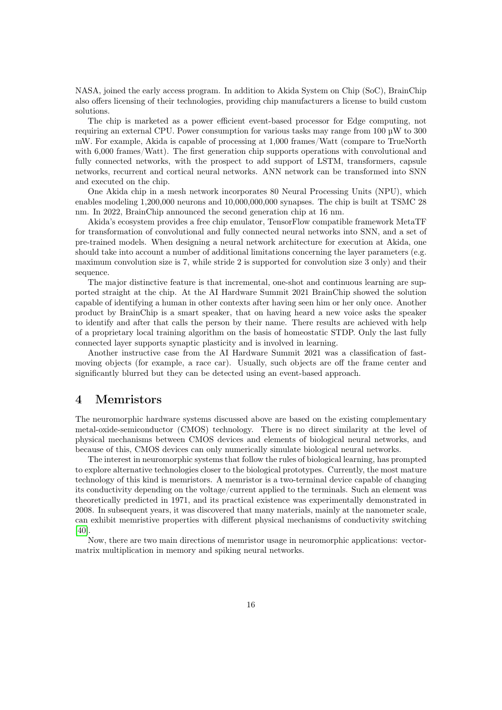NASA, joined the early access program. In addition to Akida System on Chip (SoC), BrainChip also offers licensing of their technologies, providing chip manufacturers a license to build custom solutions.

The chip is marketed as a power efficient event-based processor for Edge computing, not requiring an external CPU. Power consumption for various tasks may range from 100 µW to 300 mW. For example, Akida is capable of processing at 1,000 frames/Watt (compare to TrueNorth with 6,000 frames/Watt). The first generation chip supports operations with convolutional and fully connected networks, with the prospect to add support of LSTM, transformers, capsule networks, recurrent and cortical neural networks. ANN network can be transformed into SNN and executed on the chip.

One Akida chip in a mesh network incorporates 80 Neural Processing Units (NPU), which enables modeling 1,200,000 neurons and 10,000,000,000 synapses. The chip is built at TSMC 28 nm. In 2022, BrainChip announced the second generation chip at 16 nm.

Akida's ecosystem provides a free chip emulator, TensorFlow compatible framework MetaTF for transformation of convolutional and fully connected neural networks into SNN, аnd a set of pre-trained models. When designing a neural network architecture for execution at Akida, one should take into account a number of additional limitations concerning the layer parameters (e.g. maximum convolution size is 7, while stride 2 is supported for convolution size 3 only) and their sequence.

The major distinctive feature is that incremental, one-shot and continuous learning are supported straight at the chip. At the AI Hardware Summit 2021 BrainChip showed the solution capable of identifying a human in other contexts after having seen him or her only once. Another product by BrainChip is a smart speaker, that on having heard a new voice asks the speaker to identify and after that calls the person by their name. There results are achieved with help of a proprietary local training algorithm on the basis of homeostatic STDP. Only the last fully connected layer supports synaptic plasticity and is involved in learning.

Another instructive case from the AI Hardware Summit 2021 was a classification of fastmoving objects (for example, a race car). Usually, such objects are off the frame center and significantly blurred but they can be detected using an event-based approach.

## 4 Memristors

The neuromorphic hardware systems discussed above are based on the existing complementary metal-oxide-semiconductor (CMOS) technology. There is no direct similarity at the level of physical mechanisms between CMOS devices and elements of biological neural networks, and because of this, CMOS devices can only numerically simulate biological neural networks.

The interest in neuromorphic systems that follow the rules of biological learning, has prompted to explore alternative technologies closer to the biological prototypes. Currently, the most mature technology of this kind is memristors. A memristor is a two-terminal device capable of changing its conductivity depending on the voltage/current applied to the terminals. Such an element was theoretically predicted in 1971, and its practical existence was experimentally demonstrated in 2008. In subsequent years, it was discovered that many materials, mainly at the nanometer scale, can exhibit memristive properties with different physical mechanisms of conductivity switching [\[40\]](#page-22-1).

Now, there are two main directions of memristor usage in neuromorphic applications: vectormatrix multiplication in memory and spiking neural networks.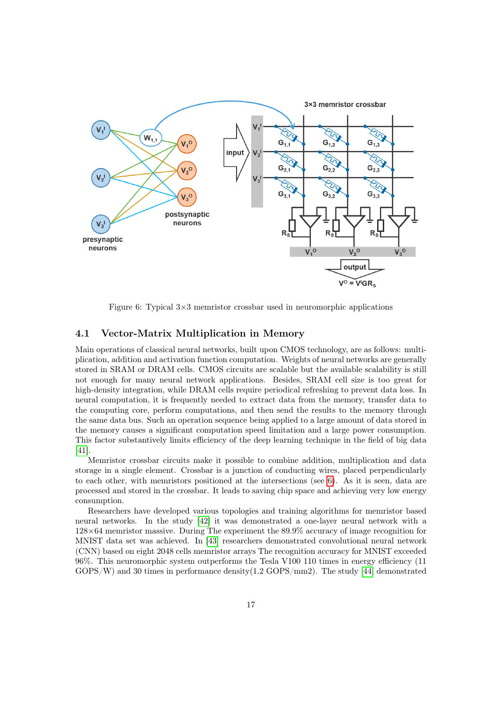

<span id="page-16-0"></span>Figure 6: Typical  $3\times3$  memristor crossbar used in neuromorphic applications

## 4.1 Vector-Matrix Multiplication in Memory

Main operations of classical neural networks, built upon CMOS technology, are as follows: multiplication, addition and activation function computation. Weights of neural networks are generally stored in SRAM or DRAM cells. CMOS circuits are scalable but the available scalability is still not enough for many neural network applications. Besides, SRAM cell size is too great for high-density integration, while DRAM cells require periodical refreshing to prevent data loss. In neural computation, it is frequently needed to extract data from the memory, transfer data to the computing core, perform computations, and then send the results to the memory through the same data bus. Such an operation sequence being applied to a large amount of data stored in the memory causes a significant computation speed limitation and a large power consumption. This factor substantively limits efficiency of the deep learning technique in the field of big data [\[41\]](#page-22-2).

Memristor crossbar circuits make it possible to combine addition, multiplication and data storage in a single element. Crossbar is a junction of conducting wires, placed perpendicularly to each other, with memristors positioned at the intersections (see [6\)](#page-16-0). As it is seen, data are processed and stored in the crossbar. It leads to saving chip space and achieving very low energy consumption.

Researchers have developed various topologies and training algorithms for memristor based neural networks. In the study [\[42\]](#page-22-3) it was demonstrated a one-layer neural network with a 128×64 memristor massive. During The experiment the 89.9% accuracy of image recognition for MNIST data set was achieved. In [\[43\]](#page-22-4) researchers demonstrated convolutional neural network (CNN) based on eight 2048 cells memristor arrays The recognition accuracy for MNIST exceeded 96%. This neuromorphic system outperforms the Tesla V100 110 times in energy efficiency (11 GOPS/W) and 30 times in performance density(1.2 GOPS/mm2). The study [\[44\]](#page-22-5) demonstrated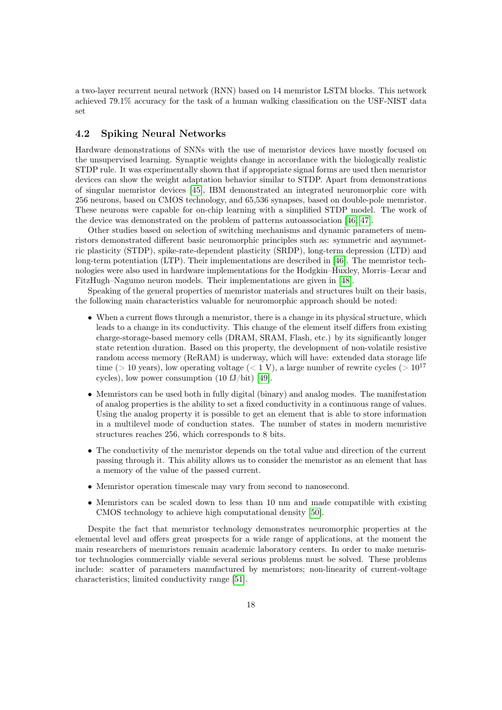a two-layer recurrent neural network (RNN) based on 14 memristor LSTM blocks. This network achieved 79.1% accuracy for the task of a human walking classification on the USF-NIST data set

## 4.2 Spiking Neural Networks

Hardware demonstrations of SNNs with the use of memristor devices have mostly focused on the unsupervised learning. Synaptic weights change in accordance with the biologically realistic STDP rule. It was experimentally shown that if appropriate signal forms are used then memristor devices can show the weight adaptation behavior similar to STDP. Apart from demonstrations of singular memristor devices [\[45\]](#page-22-6), IBM demonstrated an integrated neuromorphic core with 256 neurons, based on CMOS technology, and 65,536 synapses, based on double-pole memristor. These neurons were capable for on-chip learning with a simplified STDP model. The work of the device was demonstrated on the problem of patterns autoassociation [\[46,](#page-22-7) [47\]](#page-22-8).

Other studies based on selection of switching mechanisms and dynamic parameters of memristors demonstrated different basic neuromorphic principles such as: symmetric and asymmetric plasticity (STDP), spike-rate-dependent plasticity (SRDP), long-term depression (LTD) and long-term potentiation (LTP). Their implementations are described in [\[46\]](#page-22-7). The memristor technologies were also used in hardware implementations for the Hodgkin–Huxley, Morris–Lecar and FitzHugh–Nagumo neuron models. Their implementations are given in [\[48\]](#page-22-9).

Speaking of the general properties of memristor materials and structures built on their basis, the following main characteristics valuable for neuromorphic approach should be noted:

- When a current flows through a memristor, there is a change in its physical structure, which leads to a change in its conductivity. This change of the element itself differs from existing charge-storage-based memory cells (DRAM, SRAM, Flash, etc.) by its significantly longer state retention duration. Based on this property, the development of non-volatile resistive random access memory (ReRAM) is underway, which will have: extended data storage life time (> 10 years), low operating voltage (< 1 V), a large number of rewrite cycles (>  $10^{17}$ cycles), low power consumption (10 fJ/bit) [\[49\]](#page-22-10).
- Memristors can be used both in fully digital (binary) and analog modes. The manifestation of analog properties is the ability to set a fixed conductivity in a continuous range of values. Using the analog property it is possible to get an element that is able to store information in a multilevel mode of conduction states. The number of states in modern memristive structures reaches 256, which corresponds to 8 bits.
- The conductivity of the memristor depends on the total value and direction of the current passing through it. This ability allows us to consider the memristor as an element that has a memory of the value of the passed current.
- Memristor operation timescale may vary from second to nanosecond.
- Memristors can be scaled down to less than 10 nm and made compatible with existing CMOS technology to achieve high computational density [\[50\]](#page-22-11).

Despite the fact that memristor technology demonstrates neuromorphic properties at the elemental level and offers great prospects for a wide range of applications, at the moment the main researchers of memristors remain academic laboratory centers. In order to make memristor technologies commercially viable several serious problems must be solved. These problems include: scatter of parameters manufactured by memristors; non-linearity of current-voltage characteristics; limited conductivity range [\[51\]](#page-22-12).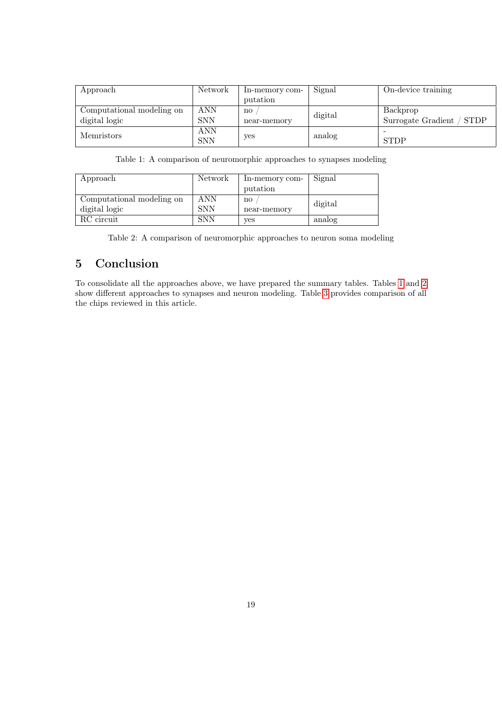| Approach                  | Network    | In-memory com- | Signal  | On-device training        |
|---------------------------|------------|----------------|---------|---------------------------|
|                           |            | putation       |         |                           |
| Computational modeling on | <b>ANN</b> | no             | digital | Backprop                  |
| digital logic             | <b>SNN</b> | near-memory    |         | Surrogate Gradient / STDP |
| Memristors                | <b>ANN</b> |                |         |                           |
|                           | <b>SNN</b> | yes            | analog  | <b>STDP</b>               |

<span id="page-18-0"></span>Table 1: A comparison of neuromorphic approaches to synapses modeling

| Approach                  | Network    | In-memory com- | Signal  |
|---------------------------|------------|----------------|---------|
|                           |            | putation       |         |
| Computational modeling on | <b>ANN</b> | $\mathbf{n}$   | digital |
| digital logic             | <b>SNN</b> | near-memory    |         |
| RC circuit                | <b>SNN</b> | yes            | analog  |

<span id="page-18-1"></span>Table 2: A comparison of neuromorphic approaches to neuron soma modeling

# 5 Conclusion

To consolidate all the approaches above, we have prepared the summary tables. Tables [1](#page-18-0) and [2](#page-18-1) show different approaches to synapses and neuron modeling. Table [3](#page-19-0) provides comparison of all the chips reviewed in this article.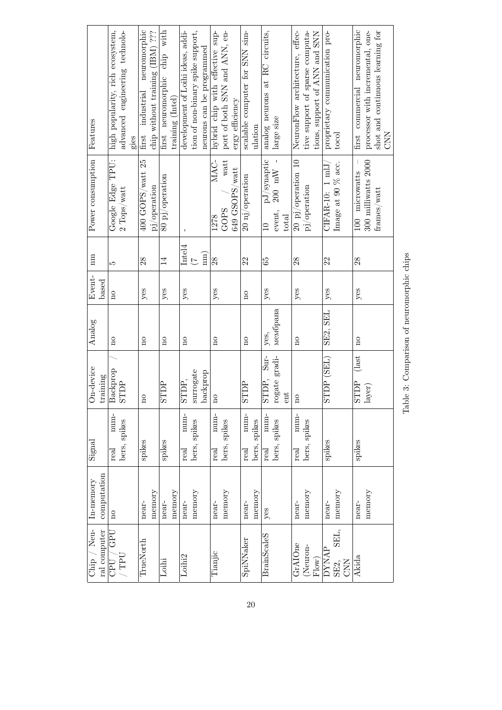<span id="page-19-0"></span>

| Features                      | high popularity, rich ecosystem,<br>advanced engineering technolo-<br>gies  | neuromorphic<br>industrial<br>first | chip without training (IBM) ??? | chip with<br>first neuromorphic<br>training (Intel) | development of Loihi ideas, addi- | tion of non-binary spike support,<br>neurons can be programmed | hybrid chip with effective sup- | port of both SNN and ANN, en- | ergy efficiency | scalable computer for SNN sim- | ulation      | analog neurons at RC circuits,   | large size                    | NeuronFlow architecture, effec- | tive support of sparse computa-<br>tions, support of ANN and SNN | proprietary communication pro- | tocol                      | first commercial neuromorphic | shot and continuous learning for<br>processor with incremental, one- | <b>NNO</b> |
|-------------------------------|-----------------------------------------------------------------------------|-------------------------------------|---------------------------------|-----------------------------------------------------|-----------------------------------|----------------------------------------------------------------|---------------------------------|-------------------------------|-----------------|--------------------------------|--------------|----------------------------------|-------------------------------|---------------------------------|------------------------------------------------------------------|--------------------------------|----------------------------|-------------------------------|----------------------------------------------------------------------|------------|
| Power consumption             | Google Edge TPU:<br>$2$ $\mbox{Tops}/\mbox{watt}$                           | $400$ GOPS/watt $25$                | pj/operation                    | 80 pj/operation                                     | $\mathbf I$                       |                                                                | MAC-<br>1278                    | watt<br>GOPS                  | 649 GSOPS/watt  | 20 nj/operation                |              | $pJ$ /synaptic<br>$\overline{a}$ | $200$ mW -<br>event,<br>total | 20 pj/operation 10              | pj/operation                                                     | CIFAR-10: 1 mlJ                | Image at 90 % acc.         | 100 microwatts                | 300 milliwatts 2000<br>${\rm frames}/{\rm wat}$                      |            |
| $\sum_{i=1}^{n}$              | LO                                                                          | $^{28}$                             |                                 | $\overline{1}$                                      | Intel <sub>4</sub>                | $\sum_{ }$<br>$\overline{C}$                                   | 28                              |                               |                 | 22                             |              | 65                               |                               | 28                              |                                                                  | 22                             |                            | 28                            |                                                                      |            |
| Event-<br>based               | $\overline{\mathbf{n}}$                                                     | yes                                 |                                 | yes                                                 | yes                               |                                                                | yes                             |                               |                 | $\overline{\mathbf{n}}$        |              | yes                              |                               | yes                             |                                                                  | yes                            |                            | yes                           |                                                                      |            |
| Analog                        | $\overline{\rm m}$                                                          | $\overline{\mathbf{n}}$             |                                 | $\overline{\mathbf{n}}$                             | $\overline{\mathbf{n}}$           |                                                                | $\overline{n}$                  |                               |                 | $_{\rm n}$                     |              | yes,                             | мембрана                      | $\overline{\mathbf{n}}$         |                                                                  | SE2, SEL                       |                            | $\overline{\mathbf{n}}$       |                                                                      |            |
| On-device<br>training         | Backprop<br><b>STDP</b>                                                     | $\overline{\Omega}$                 |                                 | <b>STDP</b>                                         | STDP,                             | surrogate<br>backprop                                          | $\beta$                         |                               |                 | <b>AULS</b>                    |              | $Sur-$<br>STDP,                  | rogate gradi-<br>hue          | $\overline{a}$                  |                                                                  | STDP (SEL)                     |                            | $\int$ ast<br><b>STDP</b>     | $_{\rm layer)}$                                                      |            |
| Signal                        | num-<br>bers, spikes<br>real                                                | spikes                              |                                 | spikes                                              | num-<br>real                      | bers, spikes                                                   | $num-$<br>real                  | bers, spikes                  |                 | $num-$<br>real                 | bers, spikes | $num-$<br>real                   | bers, spikes                  | num-<br>real                    | bers, spikes                                                     | spikes                         |                            | spikes                        |                                                                      |            |
| computation<br>In-memory      | $\Omega$                                                                    | near-                               | memory                          | memory<br>near-                                     | near-                             | memory                                                         | near-                           | memory                        |                 | near-                          | memory       | $y$ es                           |                               | near-                           | memory                                                           | near-                          | memory                     | near-                         | memory                                                               |            |
| Chip $/$ Neu-<br>ral computer | <b><i>ABD</i></b><br>$\Lambda$ . Let $\Lambda$<br>$\overline{\text{CPU}}$ / | $True$ North                        |                                 | Loihi                                               | Loihi <sub>2</sub>                |                                                                | Tianjic                         |                               |                 | SpiNNaker                      |              | <b>BrainScaleS</b>               |                               | GrAIOne                         | Neuron-<br>Flow)                                                 | DYNAP                          | SEL,<br><b>CNN</b><br>SE2, | Akida                         |                                                                      |            |

Table 3: Comparison of neuromorphic chips Table 3: Comparison of neuromorphic chips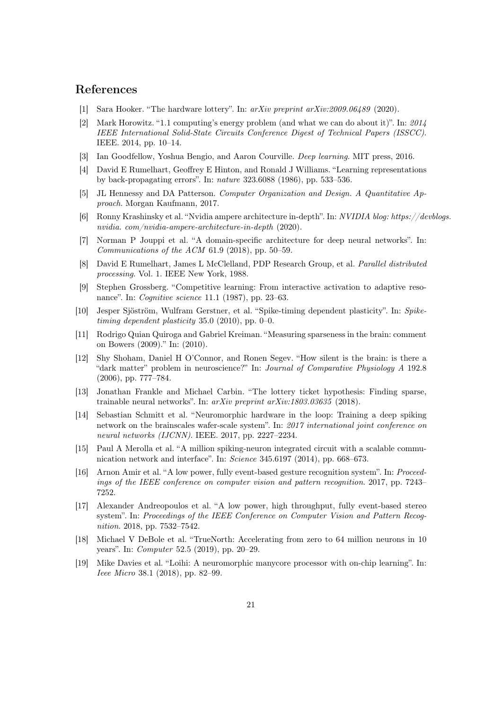## References

- <span id="page-20-0"></span>[1] Sara Hooker. "The hardware lottery". In: arXiv preprint arXiv:2009.06489 (2020).
- <span id="page-20-1"></span>[2] Mark Horowitz. "1.1 computing's energy problem (and what we can do about it)". In: 2014 IEEE International Solid-State Circuits Conference Digest of Technical Papers (ISSCC). IEEE. 2014, pp. 10–14.
- <span id="page-20-2"></span>[3] Ian Goodfellow, Yoshua Bengio, and Aaron Courville. Deep learning. MIT press, 2016.
- <span id="page-20-3"></span>[4] David E Rumelhart, Geoffrey E Hinton, and Ronald J Williams. "Learning representations by back-propagating errors". In: nature 323.6088 (1986), pp. 533–536.
- <span id="page-20-4"></span>[5] JL Hennessy and DA Patterson. Computer Organization and Design. A Quantitative Approach. Morgan Kaufmann, 2017.
- <span id="page-20-5"></span>[6] Ronny Krashinsky et al. "Nvidia ampere architecture in-depth". In: NVIDIA blog: https://devblogs. nvidia. com/nvidia-ampere-architecture-in-depth (2020).
- <span id="page-20-6"></span>[7] Norman P Jouppi et al. "A domain-specific architecture for deep neural networks". In: Communications of the ACM 61.9 (2018), pp. 50–59.
- <span id="page-20-7"></span>[8] David E Rumelhart, James L McClelland, PDP Research Group, et al. Parallel distributed processing. Vol. 1. IEEE New York, 1988.
- <span id="page-20-8"></span>[9] Stephen Grossberg. "Competitive learning: From interactive activation to adaptive resonance". In: *Cognitive science* 11.1 (1987), pp. 23–63.
- <span id="page-20-9"></span>[10] Jesper Sjöström, Wulfram Gerstner, et al. "Spike-timing dependent plasticity". In: Spiketiming dependent plasticity 35.0 (2010), pp. 0–0.
- <span id="page-20-10"></span>[11] Rodrigo Quian Quiroga and Gabriel Kreiman. "Measuring sparseness in the brain: comment on Bowers (2009)." In: (2010).
- <span id="page-20-11"></span>[12] Shy Shoham, Daniel H O'Connor, and Ronen Segev. "How silent is the brain: is there a "dark matter" problem in neuroscience?" In: Journal of Comparative Physiology A 192.8 (2006), pp. 777–784.
- <span id="page-20-12"></span>[13] Jonathan Frankle and Michael Carbin. "The lottery ticket hypothesis: Finding sparse, trainable neural networks". In: arXiv preprint arXiv:1803.03635 (2018).
- <span id="page-20-13"></span>[14] Sebastian Schmitt et al. "Neuromorphic hardware in the loop: Training a deep spiking network on the brainscales wafer-scale system". In: 2017 international joint conference on neural networks (IJCNN). IEEE. 2017, pp. 2227–2234.
- <span id="page-20-14"></span>[15] Paul A Merolla et al. "A million spiking-neuron integrated circuit with a scalable communication network and interface". In: Science 345.6197 (2014), pp. 668–673.
- <span id="page-20-15"></span>[16] Arnon Amir et al. "A low power, fully event-based gesture recognition system". In: Proceedings of the IEEE conference on computer vision and pattern recognition. 2017, pp. 7243– 7252.
- <span id="page-20-16"></span>[17] Alexander Andreopoulos et al. "A low power, high throughput, fully event-based stereo system". In: Proceedings of the IEEE Conference on Computer Vision and Pattern Recognition. 2018, pp. 7532–7542.
- <span id="page-20-17"></span>[18] Michael V DeBole et al. "TrueNorth: Accelerating from zero to 64 million neurons in 10 years". In: Computer 52.5 (2019), pp. 20–29.
- <span id="page-20-18"></span>[19] Mike Davies et al. "Loihi: A neuromorphic manycore processor with on-chip learning". In: Ieee Micro 38.1 (2018), pp. 82–99.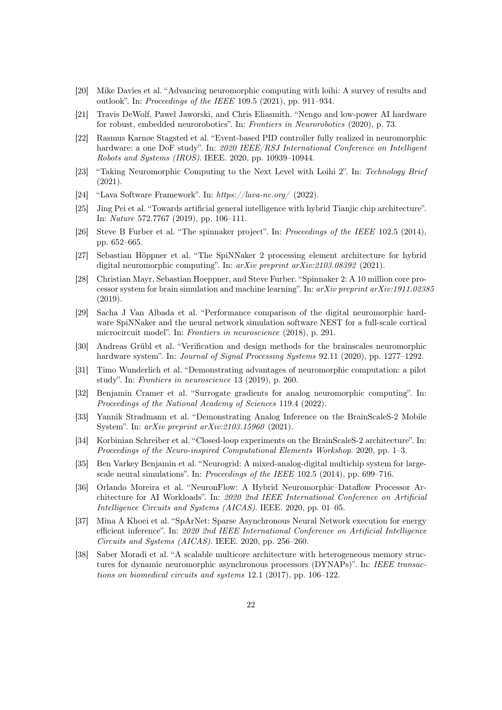- <span id="page-21-2"></span>[20] Mike Davies et al. "Advancing neuromorphic computing with loihi: A survey of results and outlook". In: Proceedings of the IEEE 109.5 (2021), pp. 911–934.
- <span id="page-21-0"></span>[21] Travis DeWolf, Pawel Jaworski, and Chris Eliasmith. "Nengo and low-power AI hardware for robust, embedded neurorobotics". In: Frontiers in Neurorobotics (2020), p. 73.
- <span id="page-21-3"></span>[22] Rasmus Karnøe Stagsted et al. "Event-based PID controller fully realized in neuromorphic hardware: a one DoF study". In: 2020 IEEE/RSJ International Conference on Intelligent Robots and Systems (IROS). IEEE. 2020, pp. 10939–10944.
- <span id="page-21-4"></span>[23] "Taking Neuromorphic Computing to the Next Level with Loihi 2". In: Technology Brief (2021).
- <span id="page-21-5"></span>[24] "Lava Software Framework". In: https://lava-nc.org/ (2022).
- <span id="page-21-1"></span>[25] Jing Pei et al. "Towards artificial general intelligence with hybrid Tianjic chip architecture". In: Nature 572.7767 (2019), pp. 106–111.
- <span id="page-21-6"></span>[26] Steve B Furber et al. "The spinnaker project". In: Proceedings of the IEEE 102.5 (2014), pp. 652–665.
- <span id="page-21-7"></span>[27] Sebastian Höppner et al. "The SpiNNaker 2 processing element architecture for hybrid digital neuromorphic computing". In:  $arXiv$  preprint  $arXiv:2103.08392$  (2021).
- <span id="page-21-8"></span>[28] Christian Mayr, Sebastian Hoeppner, and Steve Furber. "Spinnaker 2: A 10 million core processor system for brain simulation and machine learning". In: arXiv preprint arXiv:1911.02385 (2019).
- <span id="page-21-9"></span>[29] Sacha J Van Albada et al. "Performance comparison of the digital neuromorphic hardware SpiNNaker and the neural network simulation software NEST for a full-scale cortical microcircuit model". In: Frontiers in neuroscience (2018), p. 291.
- <span id="page-21-10"></span>[30] Andreas Grübl et al. "Verification and design methods for the brainscales neuromorphic hardware system". In: *Journal of Signal Processing Systems* 92.11 (2020), pp. 1277–1292.
- <span id="page-21-11"></span>[31] Timo Wunderlich et al. "Demonstrating advantages of neuromorphic computation: a pilot study". In: Frontiers in neuroscience 13 (2019), p. 260.
- <span id="page-21-12"></span>[32] Benjamin Cramer et al. "Surrogate gradients for analog neuromorphic computing". In: Proceedings of the National Academy of Sciences 119.4 (2022).
- <span id="page-21-13"></span>[33] Yannik Stradmann et al. "Demonstrating Analog Inference on the BrainScaleS-2 Mobile System". In: arXiv preprint arXiv:2103.15960 (2021).
- <span id="page-21-14"></span>[34] Korbinian Schreiber et al. "Closed-loop experiments on the BrainScaleS-2 architecture". In: Proceedings of the Neuro-inspired Computational Elements Workshop. 2020, pp. 1–3.
- <span id="page-21-15"></span>[35] Ben Varkey Benjamin et al. "Neurogrid: A mixed-analog-digital multichip system for largescale neural simulations". In: Proceedings of the IEEE 102.5 (2014), pp. 699-716.
- <span id="page-21-16"></span>[36] Orlando Moreira et al. "NeuronFlow: A Hybrid Neuromorphic–Dataflow Processor Architecture for AI Workloads". In: 2020 2nd IEEE International Conference on Artificial Intelligence Circuits and Systems (AICAS). IEEE. 2020, pp. 01–05.
- <span id="page-21-17"></span>[37] Mina A Khoei et al. "SpArNet: Sparse Asynchronous Neural Network execution for energy efficient inference". In: 2020 2nd IEEE International Conference on Artificial Intelligence Circuits and Systems (AICAS). IEEE. 2020, pp. 256–260.
- <span id="page-21-18"></span>[38] Saber Moradi et al. "A scalable multicore architecture with heterogeneous memory structures for dynamic neuromorphic asynchronous processors (DYNAPs)". In: IEEE transactions on biomedical circuits and systems 12.1 (2017), pp. 106–122.